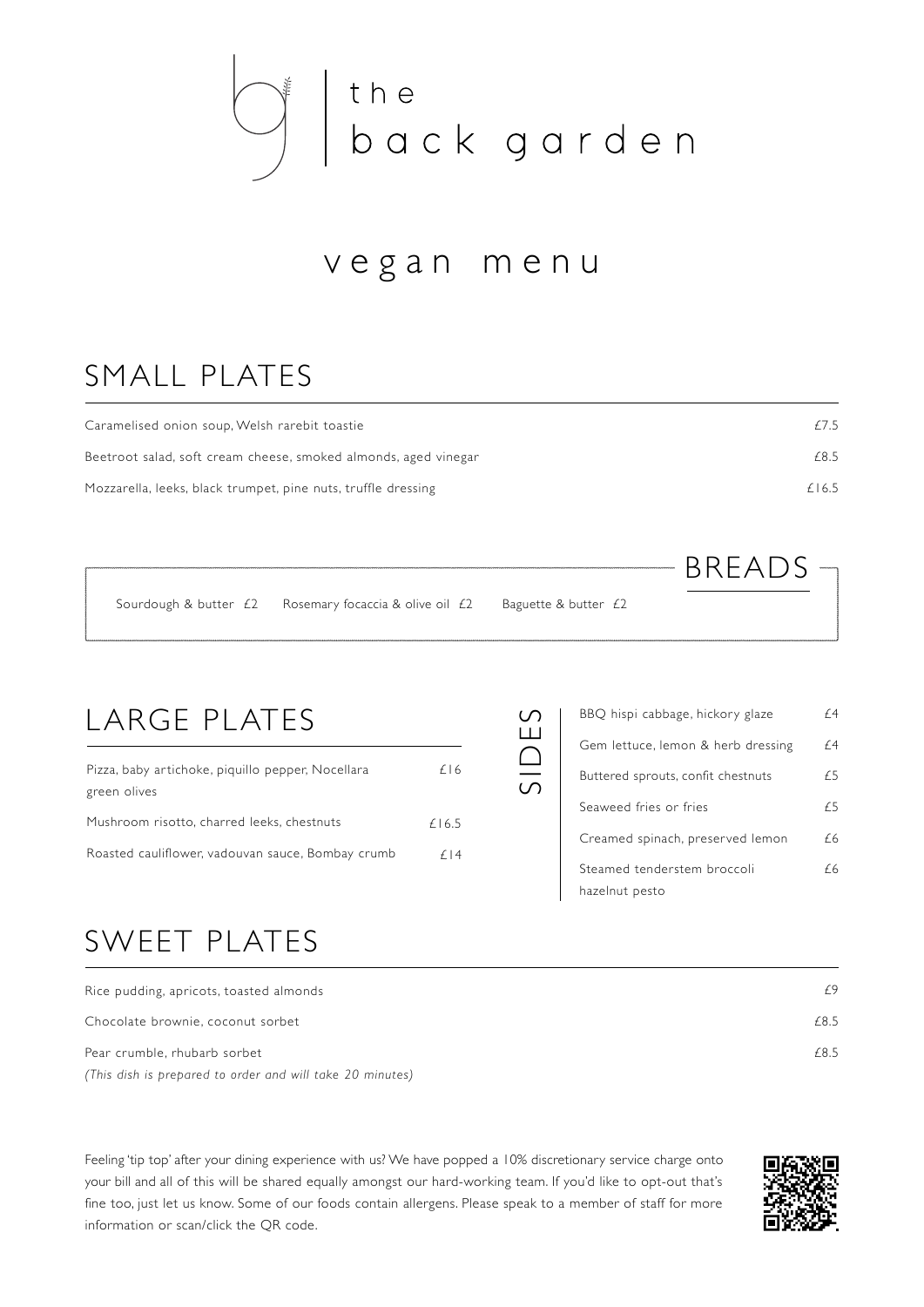

## vegan menu

## SMALL PLATES

| Caramelised onion soup, Welsh rarebit toastie                   | f 7.5 |
|-----------------------------------------------------------------|-------|
| Beetroot salad, soft cream cheese, smoked almonds, aged vinegar | £8.5  |
| Mozzarella, leeks, black trumpet, pine nuts, truffle dressing   | £16.5 |

|  |                                                                      |                      | $BRFADS =$ |  |
|--|----------------------------------------------------------------------|----------------------|------------|--|
|  | Sourdough & butter $\angle$ Rosemary focaccia & olive oil $\angle$ 2 | Baguette & butter £2 |            |  |

SIDES

## LARGE PLATES

| Pizza, baby artichoke, piquillo pepper, Nocellara | $f$   6    |
|---------------------------------------------------|------------|
| green olives                                      |            |
| Mushroom risotto, charred leeks, chestnuts        | f 16.5     |
| Roasted cauliflower, vadouvan sauce, Bombay crumb | $f \mid 4$ |

| Gem lettuce, lemon & herb dressing<br>Buttered sprouts, confit chestnuts<br>Seaweed fries or fries<br>Creamed spinach, preserved lemon | BBQ hispi cabbage, hickory glaze | f 4 |
|----------------------------------------------------------------------------------------------------------------------------------------|----------------------------------|-----|
|                                                                                                                                        |                                  | f 4 |
|                                                                                                                                        |                                  | £   |
|                                                                                                                                        |                                  | £   |
|                                                                                                                                        |                                  | f 6 |
| hazelnut pesto                                                                                                                         | Steamed tenderstem broccoli      | f 6 |

## SWEET PLATES

| Rice pudding, apricots, toasted almonds                   | f9   |
|-----------------------------------------------------------|------|
| Chocolate brownie, coconut sorbet                         | £8.5 |
| Pear crumble, rhubarb sorbet                              | £8.5 |
| (This dish is prepared to order and will take 20 minutes) |      |

Feeling 'tip top' after your dining experience with us? We have popped a 10% discretionary service charge onto your bill and all of this will be shared equally amongst our hard-working team. If you'd like to opt-out that's fine too, just let us know. Some of our foods contain allergens. Please speak to a member of staff for more information or scan/click the QR code.